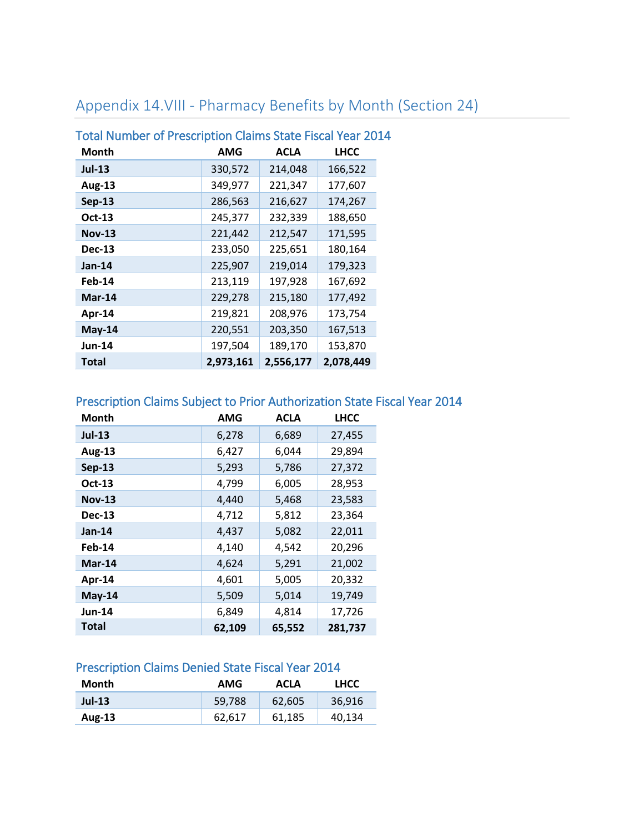## Appendix 14.VIII - Pharmacy Benefits by Month (Section 24)

| Total Number of Prescription Claims State Fiscal Year 20: |           |             |             |
|-----------------------------------------------------------|-----------|-------------|-------------|
| Month                                                     | AMG       | <b>ACLA</b> | <b>LHCC</b> |
| <b>Jul-13</b>                                             | 330,572   | 214,048     | 166,522     |
| <b>Aug-13</b>                                             | 349,977   | 221,347     | 177,607     |
| <b>Sep-13</b>                                             | 286,563   | 216,627     | 174,267     |
| Oct-13                                                    | 245,377   | 232,339     | 188,650     |
| <b>Nov-13</b>                                             | 221,442   | 212,547     | 171,595     |
| <b>Dec-13</b>                                             | 233,050   | 225,651     | 180,164     |
| <b>Jan-14</b>                                             | 225,907   | 219,014     | 179,323     |
| Feb-14                                                    | 213,119   | 197,928     | 167,692     |
| $Mar-14$                                                  | 229,278   | 215,180     | 177,492     |
| Apr-14                                                    | 219,821   | 208,976     | 173,754     |
| May-14                                                    | 220,551   | 203,350     | 167,513     |
| <b>Jun-14</b>                                             | 197,504   | 189,170     | 153,870     |
| <b>Total</b>                                              | 2,973,161 | 2,556,177   | 2,078,449   |

# Total Number of Prescription Claims State Fiscal Year 2014

### Prescription Claims Subject to Prior Authorization State Fiscal Year 2014

| Month         | AMG    | <b>ACLA</b> | <b>LHCC</b> |
|---------------|--------|-------------|-------------|
| <b>Jul-13</b> | 6,278  | 6,689       | 27,455      |
| <b>Aug-13</b> | 6,427  | 6,044       | 29,894      |
| <b>Sep-13</b> | 5,293  | 5,786       | 27,372      |
| Oct-13        | 4,799  | 6,005       | 28,953      |
| <b>Nov-13</b> | 4,440  | 5,468       | 23,583      |
| <b>Dec-13</b> | 4,712  | 5,812       | 23,364      |
| $Jan-14$      | 4,437  | 5,082       | 22,011      |
| Feb-14        | 4,140  | 4,542       | 20,296      |
| $Mar-14$      | 4,624  | 5,291       | 21,002      |
| Apr-14        | 4,601  | 5,005       | 20,332      |
| May-14        | 5,509  | 5,014       | 19,749      |
| <b>Jun-14</b> | 6,849  | 4,814       | 17,726      |
| <b>Total</b>  | 62,109 | 65,552      | 281,737     |

#### Prescription Claims Denied State Fiscal Year 2014

| Month    | AMG    | <b>ACLA</b> | <b>LHCC</b> |
|----------|--------|-------------|-------------|
| $Jul-13$ | 59.788 | 62.605      | 36.916      |
| Aug-13   | 62.617 | 61.185      | 40.134      |